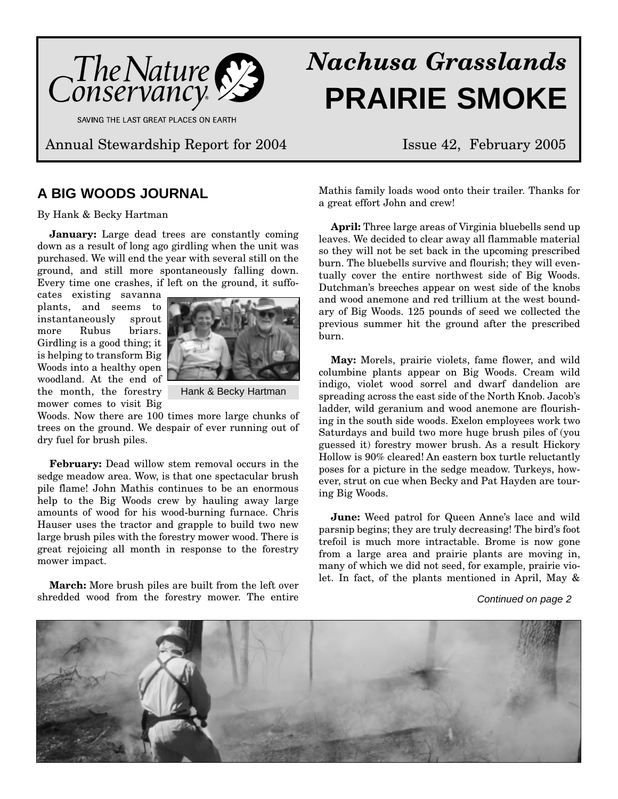

SAVING THE LAST GREAT PLACES ON EARTH

Annual Stewardship Report for 2004 Issue 42, February 2005

### **A BIG WOODS JOURNAL**

By Hank & Becky Hartman

**January:** Large dead trees are constantly coming down as a result of long ago girdling when the unit was purchased. We will end the year with several still on the ground, and still more spontaneously falling down. Every time one crashes, if left on the ground, it suffo-

cates existing savanna plants, and seems to instantaneously sprout more Rubus briars. Girdling is a good thing; it is helping to transform Big Woods into a healthy open woodland. At the end of the month, the forestry mower comes to visit Big



Hank & Becky Hartman

Woods. Now there are 100 times more large chunks of trees on the ground. We despair of ever running out of dry fuel for brush piles.

**February:** Dead willow stem removal occurs in the sedge meadow area. Wow, is that one spectacular brush pile flame! John Mathis continues to be an enormous help to the Big Woods crew by hauling away large amounts of wood for his wood-burning furnace. Chris Hauser uses the tractor and grapple to build two new large brush piles with the forestry mower wood. There is great rejoicing all month in response to the forestry mower impact.

**March:** More brush piles are built from the left over shredded wood from the forestry mower. The entire

# *Nachusa Grasslands* **PRAIRIE SMOKE**

Mathis family loads wood onto their trailer. Thanks for a great effort John and crew!

**April:** Three large areas of Virginia bluebells send up leaves. We decided to clear away all flammable material so they will not be set back in the upcoming prescribed burn. The bluebells survive and flourish; they will eventually cover the entire northwest side of Big Woods. Dutchman's breeches appear on west side of the knobs and wood anemone and red trillium at the west boundary of Big Woods. 125 pounds of seed we collected the previous summer hit the ground after the prescribed burn.

**May:** Morels, prairie violets, fame flower, and wild columbine plants appear on Big Woods. Cream wild indigo, violet wood sorrel and dwarf dandelion are spreading across the east side of the North Knob. Jacob's ladder, wild geranium and wood anemone are flourishing in the south side woods. Exelon employees work two Saturdays and build two more huge brush piles of (you guessed it) forestry mower brush. As a result Hickory Hollow is 90% cleared! An eastern box turtle reluctantly poses for a picture in the sedge meadow. Turkeys, however, strut on cue when Becky and Pat Hayden are touring Big Woods.

**June:** Weed patrol for Queen Anne's lace and wild parsnip begins; they are truly decreasing! The bird's foot trefoil is much more intractable. Brome is now gone from a large area and prairie plants are moving in, many of which we did not seed, for example, prairie violet. In fact, of the plants mentioned in April, May &

### Continued on page 2

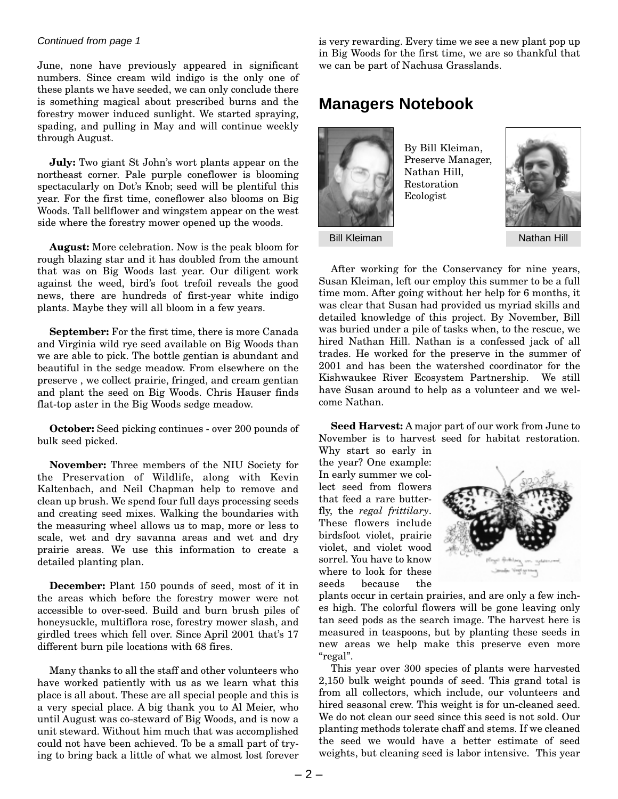### Continued from page 1

June, none have previously appeared in significant numbers. Since cream wild indigo is the only one of these plants we have seeded, we can only conclude there is something magical about prescribed burns and the forestry mower induced sunlight. We started spraying, spading, and pulling in May and will continue weekly through August.

**July:** Two giant St John's wort plants appear on the northeast corner. Pale purple coneflower is blooming spectacularly on Dot's Knob; seed will be plentiful this year. For the first time, coneflower also blooms on Big Woods. Tall bellflower and wingstem appear on the west side where the forestry mower opened up the woods.

**August:** More celebration. Now is the peak bloom for rough blazing star and it has doubled from the amount that was on Big Woods last year. Our diligent work against the weed, bird's foot trefoil reveals the good news, there are hundreds of first-year white indigo plants. Maybe they will all bloom in a few years.

**September:** For the first time, there is more Canada and Virginia wild rye seed available on Big Woods than we are able to pick. The bottle gentian is abundant and beautiful in the sedge meadow. From elsewhere on the preserve , we collect prairie, fringed, and cream gentian and plant the seed on Big Woods. Chris Hauser finds flat-top aster in the Big Woods sedge meadow.

**October:** Seed picking continues - over 200 pounds of bulk seed picked.

**November:** Three members of the NIU Society for the Preservation of Wildlife, along with Kevin Kaltenbach, and Neil Chapman help to remove and clean up brush. We spend four full days processing seeds and creating seed mixes. Walking the boundaries with the measuring wheel allows us to map, more or less to scale, wet and dry savanna areas and wet and dry prairie areas. We use this information to create a detailed planting plan.

**December:** Plant 150 pounds of seed, most of it in the areas which before the forestry mower were not accessible to over-seed. Build and burn brush piles of honeysuckle, multiflora rose, forestry mower slash, and girdled trees which fell over. Since April 2001 that's 17 different burn pile locations with 68 fires.

Many thanks to all the staff and other volunteers who have worked patiently with us as we learn what this place is all about. These are all special people and this is a very special place. A big thank you to Al Meier, who until August was co-steward of Big Woods, and is now a unit steward. Without him much that was accomplished could not have been achieved. To be a small part of trying to bring back a little of what we almost lost forever is very rewarding. Every time we see a new plant pop up in Big Woods for the first time, we are so thankful that we can be part of Nachusa Grasslands.

### **Managers Notebook**



By Bill Kleiman, Preserve Manager, Nathan Hill, Restoration Ecologist



Bill Kleiman Nathan Hill

After working for the Conservancy for nine years, Susan Kleiman, left our employ this summer to be a full time mom. After going without her help for 6 months, it was clear that Susan had provided us myriad skills and detailed knowledge of this project. By November, Bill was buried under a pile of tasks when, to the rescue, we hired Nathan Hill. Nathan is a confessed jack of all trades. He worked for the preserve in the summer of 2001 and has been the watershed coordinator for the Kishwaukee River Ecosystem Partnership. We still have Susan around to help as a volunteer and we welcome Nathan.

**Seed Harvest:** A major part of our work from June to November is to harvest seed for habitat restoration.

Why start so early in the year? One example: In early summer we collect seed from flowers that feed a rare butterfly, the *regal frittilary*. These flowers include birdsfoot violet, prairie violet, and violet wood sorrel. You have to know where to look for these seeds because the



plants occur in certain prairies, and are only a few inches high. The colorful flowers will be gone leaving only tan seed pods as the search image. The harvest here is measured in teaspoons, but by planting these seeds in new areas we help make this preserve even more "regal".

This year over 300 species of plants were harvested 2,150 bulk weight pounds of seed. This grand total is from all collectors, which include, our volunteers and hired seasonal crew. This weight is for un-cleaned seed. We do not clean our seed since this seed is not sold. Our planting methods tolerate chaff and stems. If we cleaned the seed we would have a better estimate of seed weights, but cleaning seed is labor intensive. This year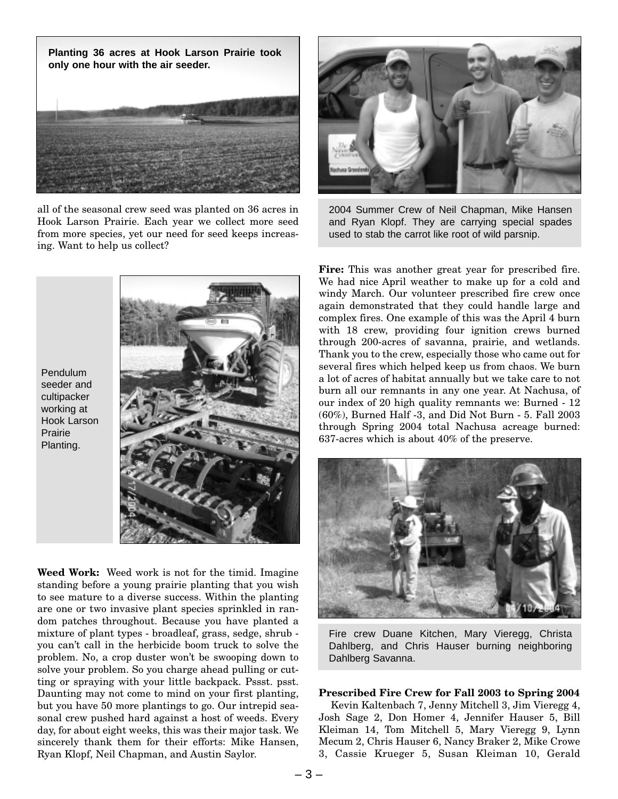

all of the seasonal crew seed was planted on 36 acres in Hook Larson Prairie. Each year we collect more seed from more species, yet our need for seed keeps increasing. Want to help us collect?



2004 Summer Crew of Neil Chapman, Mike Hansen and Ryan Klopf. They are carrying special spades used to stab the carrot like root of wild parsnip.





**Weed Work:** Weed work is not for the timid. Imagine standing before a young prairie planting that you wish to see mature to a diverse success. Within the planting are one or two invasive plant species sprinkled in random patches throughout. Because you have planted a mixture of plant types - broadleaf, grass, sedge, shrub you can't call in the herbicide boom truck to solve the problem. No, a crop duster won't be swooping down to solve your problem. So you charge ahead pulling or cutting or spraying with your little backpack. Pssst. psst. Daunting may not come to mind on your first planting, but you have 50 more plantings to go. Our intrepid seasonal crew pushed hard against a host of weeds. Every day, for about eight weeks, this was their major task. We sincerely thank them for their efforts: Mike Hansen, Ryan Klopf, Neil Chapman, and Austin Saylor.

**Fire:** This was another great year for prescribed fire. We had nice April weather to make up for a cold and windy March. Our volunteer prescribed fire crew once again demonstrated that they could handle large and complex fires. One example of this was the April 4 burn with 18 crew, providing four ignition crews burned through 200-acres of savanna, prairie, and wetlands. Thank you to the crew, especially those who came out for several fires which helped keep us from chaos. We burn a lot of acres of habitat annually but we take care to not burn all our remnants in any one year. At Nachusa, of our index of 20 high quality remnants we: Burned - 12 (60%), Burned Half -3, and Did Not Burn - 5. Fall 2003 through Spring 2004 total Nachusa acreage burned: 637-acres which is about 40% of the preserve.



Fire crew Duane Kitchen, Mary Vieregg, Christa Dahlberg, and Chris Hauser burning neighboring Dahlberg Savanna.

### **Prescribed Fire Crew for Fall 2003 to Spring 2004**

Kevin Kaltenbach 7, Jenny Mitchell 3, Jim Vieregg 4, Josh Sage 2, Don Homer 4, Jennifer Hauser 5, Bill Kleiman 14, Tom Mitchell 5, Mary Vieregg 9, Lynn Mecum 2, Chris Hauser 6, Nancy Braker 2, Mike Crowe 3, Cassie Krueger 5, Susan Kleiman 10, Gerald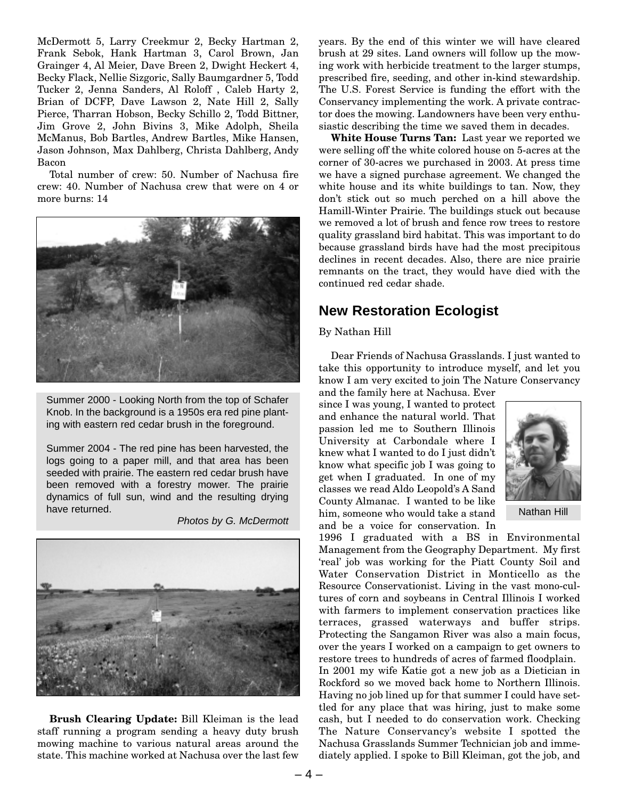McDermott 5, Larry Creekmur 2, Becky Hartman 2, Frank Sebok, Hank Hartman 3, Carol Brown, Jan Grainger 4, Al Meier, Dave Breen 2, Dwight Heckert 4, Becky Flack, Nellie Sizgoric, Sally Baumgardner 5, Todd Tucker 2, Jenna Sanders, Al Roloff , Caleb Harty 2, Brian of DCFP, Dave Lawson 2, Nate Hill 2, Sally Pierce, Tharran Hobson, Becky Schillo 2, Todd Bittner, Jim Grove 2, John Bivins 3, Mike Adolph, Sheila McManus, Bob Bartles, Andrew Bartles, Mike Hansen, Jason Johnson, Max Dahlberg, Christa Dahlberg, Andy Bacon

Total number of crew: 50. Number of Nachusa fire crew: 40. Number of Nachusa crew that were on 4 or more burns: 14



Summer 2000 - Looking North from the top of Schafer Knob. In the background is a 1950s era red pine planting with eastern red cedar brush in the foreground.

Summer 2004 - The red pine has been harvested, the logs going to a paper mill, and that area has been seeded with prairie. The eastern red cedar brush have been removed with a forestry mower. The prairie dynamics of full sun, wind and the resulting drying have returned.

Photos by G. McDermott



**Brush Clearing Update:** Bill Kleiman is the lead staff running a program sending a heavy duty brush mowing machine to various natural areas around the state. This machine worked at Nachusa over the last few

years. By the end of this winter we will have cleared brush at 29 sites. Land owners will follow up the mowing work with herbicide treatment to the larger stumps, prescribed fire, seeding, and other in-kind stewardship. The U.S. Forest Service is funding the effort with the Conservancy implementing the work. A private contractor does the mowing. Landowners have been very enthusiastic describing the time we saved them in decades.

**White House Turns Tan:** Last year we reported we were selling off the white colored house on 5-acres at the corner of 30-acres we purchased in 2003. At press time we have a signed purchase agreement. We changed the white house and its white buildings to tan. Now, they don't stick out so much perched on a hill above the Hamill-Winter Prairie. The buildings stuck out because we removed a lot of brush and fence row trees to restore quality grassland bird habitat. This was important to do because grassland birds have had the most precipitous declines in recent decades. Also, there are nice prairie remnants on the tract, they would have died with the continued red cedar shade.

### **New Restoration Ecologist**

### By Nathan Hill

Dear Friends of Nachusa Grasslands. I just wanted to take this opportunity to introduce myself, and let you know I am very excited to join The Nature Conservancy

and the family here at Nachusa. Ever since I was young, I wanted to protect and enhance the natural world. That passion led me to Southern Illinois University at Carbondale where I knew what I wanted to do I just didn't know what specific job I was going to get when I graduated. In one of my classes we read Aldo Leopold's A Sand County Almanac. I wanted to be like him, someone who would take a stand and be a voice for conservation. In



Nathan Hill

1996 I graduated with a BS in Environmental Management from the Geography Department. My first 'real' job was working for the Piatt County Soil and Water Conservation District in Monticello as the Resource Conservationist. Living in the vast mono-cultures of corn and soybeans in Central Illinois I worked with farmers to implement conservation practices like terraces, grassed waterways and buffer strips. Protecting the Sangamon River was also a main focus, over the years I worked on a campaign to get owners to restore trees to hundreds of acres of farmed floodplain. In 2001 my wife Katie got a new job as a Dietician in Rockford so we moved back home to Northern Illinois. Having no job lined up for that summer I could have settled for any place that was hiring, just to make some cash, but I needed to do conservation work. Checking The Nature Conservancy's website I spotted the Nachusa Grasslands Summer Technician job and immediately applied. I spoke to Bill Kleiman, got the job, and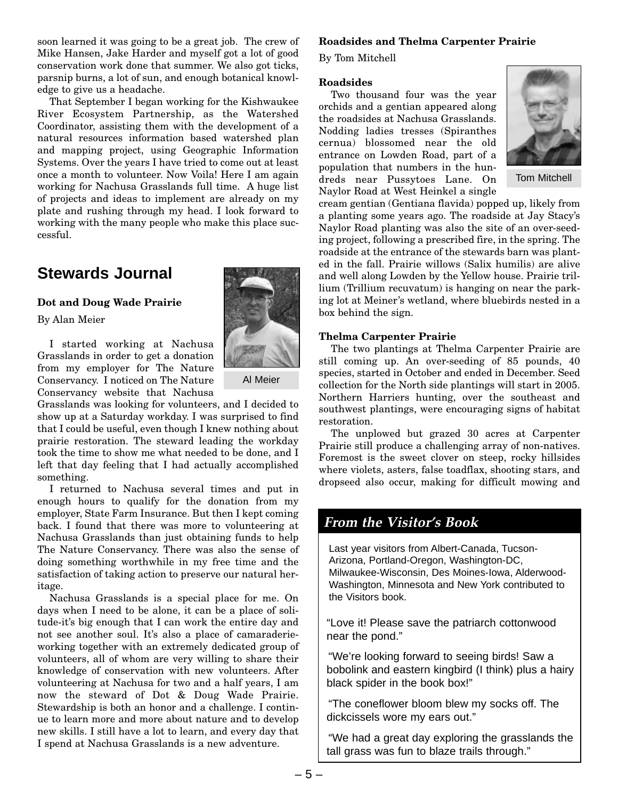soon learned it was going to be a great job. The crew of Mike Hansen, Jake Harder and myself got a lot of good conservation work done that summer. We also got ticks, parsnip burns, a lot of sun, and enough botanical knowledge to give us a headache.

That September I began working for the Kishwaukee River Ecosystem Partnership, as the Watershed Coordinator, assisting them with the development of a natural resources information based watershed plan and mapping project, using Geographic Information Systems. Over the years I have tried to come out at least once a month to volunteer. Now Voila! Here I am again working for Nachusa Grasslands full time. A huge list of projects and ideas to implement are already on my plate and rushing through my head. I look forward to working with the many people who make this place successful.

## **Stewards Journal**

### **Dot and Doug Wade Prairie**

By Alan Meier

I started working at Nachusa Grasslands in order to get a donation from my employer for The Nature Conservancy. I noticed on The Nature Conservancy website that Nachusa

Grasslands was looking for volunteers, and I decided to show up at a Saturday workday. I was surprised to find that I could be useful, even though I knew nothing about prairie restoration. The steward leading the workday took the time to show me what needed to be done, and I left that day feeling that I had actually accomplished something.

I returned to Nachusa several times and put in enough hours to qualify for the donation from my employer, State Farm Insurance. But then I kept coming back. I found that there was more to volunteering at Nachusa Grasslands than just obtaining funds to help The Nature Conservancy. There was also the sense of doing something worthwhile in my free time and the satisfaction of taking action to preserve our natural heritage.

Nachusa Grasslands is a special place for me. On days when I need to be alone, it can be a place of solitude-it's big enough that I can work the entire day and not see another soul. It's also a place of camaraderieworking together with an extremely dedicated group of volunteers, all of whom are very willing to share their knowledge of conservation with new volunteers. After volunteering at Nachusa for two and a half years, I am now the steward of Dot & Doug Wade Prairie. Stewardship is both an honor and a challenge. I continue to learn more and more about nature and to develop new skills. I still have a lot to learn, and every day that I spend at Nachusa Grasslands is a new adventure.



By Tom Mitchell

### **Roadsides**

Two thousand four was the year orchids and a gentian appeared along the roadsides at Nachusa Grasslands. Nodding ladies tresses (Spiranthes cernua) blossomed near the old entrance on Lowden Road, part of a population that numbers in the hundreds near Pussytoes Lane. On Naylor Road at West Heinkel a single



Tom Mitchell

cream gentian (Gentiana flavida) popped up, likely from a planting some years ago. The roadside at Jay Stacy's Naylor Road planting was also the site of an over-seeding project, following a prescribed fire, in the spring. The roadside at the entrance of the stewards barn was planted in the fall. Prairie willows (Salix humilis) are alive and well along Lowden by the Yellow house. Prairie trillium (Trillium recuvatum) is hanging on near the parking lot at Meiner's wetland, where bluebirds nested in a box behind the sign.

### **Thelma Carpenter Prairie**

The two plantings at Thelma Carpenter Prairie are still coming up. An over-seeding of 85 pounds, 40 species, started in October and ended in December. Seed collection for the North side plantings will start in 2005. Northern Harriers hunting, over the southeast and southwest plantings, were encouraging signs of habitat restoration.

The unplowed but grazed 30 acres at Carpenter Prairie still produce a challenging array of non-natives. Foremost is the sweet clover on steep, rocky hillsides where violets, asters, false toadflax, shooting stars, and dropseed also occur, making for difficult mowing and

### **From the Visitor's Book**

Last year visitors from Albert-Canada, Tucson-Arizona, Portland-Oregon, Washington-DC, Milwaukee-Wisconsin, Des Moines-Iowa, Alderwood-Washington, Minnesota and New York contributed to the Visitors book.

"Love it! Please save the patriarch cottonwood near the pond."

"We're looking forward to seeing birds! Saw a bobolink and eastern kingbird (I think) plus a hairy black spider in the book box!"

"The coneflower bloom blew my socks off. The dickcissels wore my ears out."

"We had a great day exploring the grasslands the tall grass was fun to blaze trails through."



Al Meier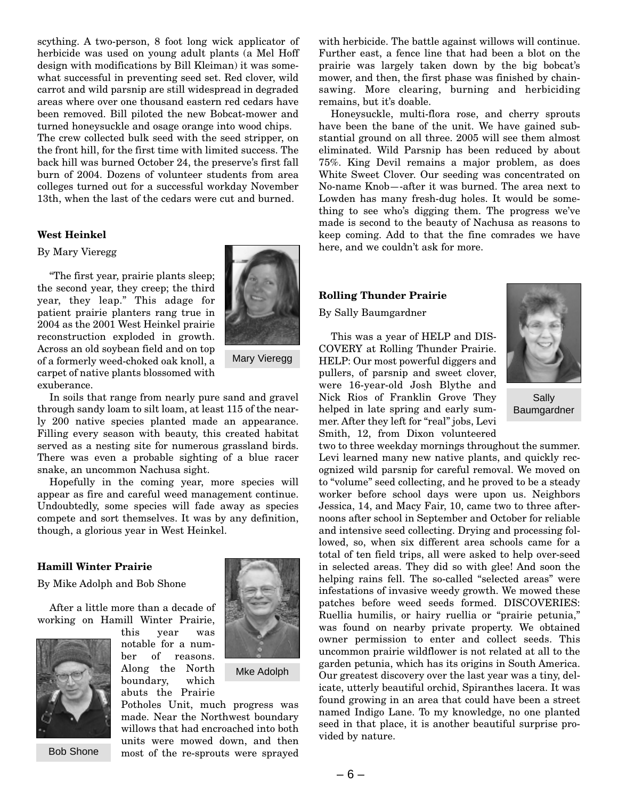scything. A two-person, 8 foot long wick applicator of herbicide was used on young adult plants (a Mel Hoff design with modifications by Bill Kleiman) it was somewhat successful in preventing seed set. Red clover, wild carrot and wild parsnip are still widespread in degraded areas where over one thousand eastern red cedars have been removed. Bill piloted the new Bobcat-mower and turned honeysuckle and osage orange into wood chips. The crew collected bulk seed with the seed stripper, on the front hill, for the first time with limited success. The back hill was burned October 24, the preserve's first fall burn of 2004. Dozens of volunteer students from area colleges turned out for a successful workday November 13th, when the last of the cedars were cut and burned.

### **West Heinkel**

### By Mary Vieregg

"The first year, prairie plants sleep; the second year, they creep; the third year, they leap." This adage for patient prairie planters rang true in 2004 as the 2001 West Heinkel prairie reconstruction exploded in growth. Across an old soybean field and on top of a formerly weed-choked oak knoll, a carpet of native plants blossomed with exuberance.



Hopefully in the coming year, more species will appear as fire and careful weed management continue. Undoubtedly, some species will fade away as species compete and sort themselves. It was by any definition, though, a glorious year in West Heinkel.

### **Hamill Winter Prairie**

By Mike Adolph and Bob Shone

After a little more than a decade of working on Hamill Winter Prairie,



Bob Shone

this year was notable for a number of reasons. Along the North boundary, which abuts the Prairie



Mary Vieregg

Mke Adolph

Potholes Unit, much progress was made. Near the Northwest boundary willows that had encroached into both units were mowed down, and then most of the re-sprouts were sprayed with herbicide. The battle against willows will continue. Further east, a fence line that had been a blot on the prairie was largely taken down by the big bobcat's mower, and then, the first phase was finished by chainsawing. More clearing, burning and herbiciding remains, but it's doable.

Honeysuckle, multi-flora rose, and cherry sprouts have been the bane of the unit. We have gained substantial ground on all three. 2005 will see them almost eliminated. Wild Parsnip has been reduced by about 75%. King Devil remains a major problem, as does White Sweet Clover. Our seeding was concentrated on No-name Knob—-after it was burned. The area next to Lowden has many fresh-dug holes. It would be something to see who's digging them. The progress we've made is second to the beauty of Nachusa as reasons to keep coming. Add to that the fine comrades we have here, and we couldn't ask for more.

### **Rolling Thunder Prairie**

By Sally Baumgardner

This was a year of HELP and DIS-COVERY at Rolling Thunder Prairie. HELP: Our most powerful diggers and pullers, of parsnip and sweet clover, were 16-year-old Josh Blythe and Nick Rios of Franklin Grove They helped in late spring and early summer. After they left for "real" jobs, Levi Smith, 12, from Dixon volunteered



Sally Baumgardner

two to three weekday mornings throughout the summer. Levi learned many new native plants, and quickly recognized wild parsnip for careful removal. We moved on to "volume" seed collecting, and he proved to be a steady worker before school days were upon us. Neighbors Jessica, 14, and Macy Fair, 10, came two to three afternoons after school in September and October for reliable and intensive seed collecting. Drying and processing followed, so, when six different area schools came for a total of ten field trips, all were asked to help over-seed in selected areas. They did so with glee! And soon the helping rains fell. The so-called "selected areas" were infestations of invasive weedy growth. We mowed these patches before weed seeds formed. DISCOVERIES: Ruellia humilis, or hairy ruellia or "prairie petunia," was found on nearby private property. We obtained owner permission to enter and collect seeds. This uncommon prairie wildflower is not related at all to the garden petunia, which has its origins in South America. Our greatest discovery over the last year was a tiny, delicate, utterly beautiful orchid, Spiranthes lacera. It was found growing in an area that could have been a street named Indigo Lane. To my knowledge, no one planted seed in that place, it is another beautiful surprise provided by nature.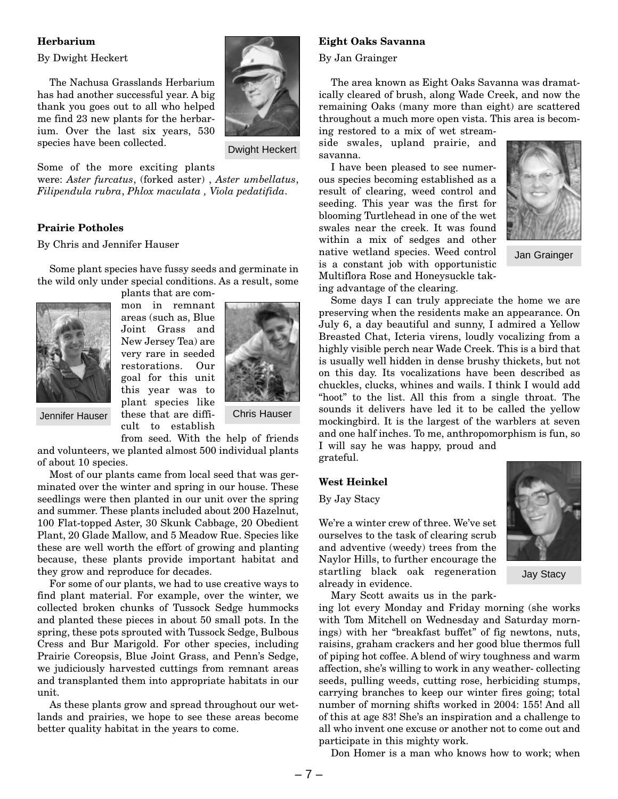### **Herbarium**

By Dwight Heckert

The Nachusa Grasslands Herbarium has had another successful year. A big thank you goes out to all who helped me find 23 new plants for the herbarium. Over the last six years, 530 species have been collected.

Dwight Heckert

Some of the more exciting plants

were: *Aster furcatus*, (forked aster) , *Aster umbellatus*, *Filipendula rubra*, *Phlox maculata , Viola pedatifida*.

### **Prairie Potholes**

By Chris and Jennifer Hauser

Some plant species have fussy seeds and germinate in the wild only under special conditions. As a result, some





mon in remnant areas (such as, Blue Joint Grass and New Jersey Tea) are very rare in seeded restorations. Our goal for this unit this year was to plant species like Jennifer Hauser these that are diffi- Chris Hauser cult to establish



from seed. With the help of friends and volunteers, we planted almost 500 individual plants of about 10 species.

Most of our plants came from local seed that was germinated over the winter and spring in our house. These seedlings were then planted in our unit over the spring and summer. These plants included about 200 Hazelnut, 100 Flat-topped Aster, 30 Skunk Cabbage, 20 Obedient Plant, 20 Glade Mallow, and 5 Meadow Rue. Species like these are well worth the effort of growing and planting because, these plants provide important habitat and they grow and reproduce for decades.

For some of our plants, we had to use creative ways to find plant material. For example, over the winter, we collected broken chunks of Tussock Sedge hummocks and planted these pieces in about 50 small pots. In the spring, these pots sprouted with Tussock Sedge, Bulbous Cress and Bur Marigold. For other species, including Prairie Coreopsis, Blue Joint Grass, and Penn's Sedge, we judiciously harvested cuttings from remnant areas and transplanted them into appropriate habitats in our unit.

As these plants grow and spread throughout our wetlands and prairies, we hope to see these areas become better quality habitat in the years to come.

#### **Eight Oaks Savanna**

By Jan Grainger

The area known as Eight Oaks Savanna was dramatically cleared of brush, along Wade Creek, and now the remaining Oaks (many more than eight) are scattered throughout a much more open vista. This area is becoming restored to a mix of wet stream-

side swales, upland prairie, and savanna.

I have been pleased to see numerous species becoming established as a result of clearing, weed control and seeding. This year was the first for blooming Turtlehead in one of the wet swales near the creek. It was found within a mix of sedges and other native wetland species. Weed control is a constant job with opportunistic Multiflora Rose and Honeysuckle taking advantage of the clearing.



Jan Grainger

Some days I can truly appreciate the home we are preserving when the residents make an appearance. On July 6, a day beautiful and sunny, I admired a Yellow Breasted Chat, Icteria virens, loudly vocalizing from a highly visible perch near Wade Creek. This is a bird that is usually well hidden in dense brushy thickets, but not on this day. Its vocalizations have been described as chuckles, clucks, whines and wails. I think I would add "hoot" to the list. All this from a single throat. The sounds it delivers have led it to be called the yellow mockingbird. It is the largest of the warblers at seven and one half inches. To me, anthropomorphism is fun, so I will say he was happy, proud and grateful.

### **West Heinkel**

By Jay Stacy

We're a winter crew of three. We've set ourselves to the task of clearing scrub and adventive (weedy) trees from the Naylor Hills, to further encourage the startling black oak regeneration already in evidence.

Mary Scott awaits us in the park-

ing lot every Monday and Friday morning (she works with Tom Mitchell on Wednesday and Saturday mornings) with her "breakfast buffet" of fig newtons, nuts, raisins, graham crackers and her good blue thermos full of piping hot coffee. A blend of wiry toughness and warm affection, she's willing to work in any weather- collecting seeds, pulling weeds, cutting rose, herbiciding stumps, carrying branches to keep our winter fires going; total number of morning shifts worked in 2004: 155! And all of this at age 83! She's an inspiration and a challenge to all who invent one excuse or another not to come out and participate in this mighty work.

Don Homer is a man who knows how to work; when

Jay Stacy

– 7 –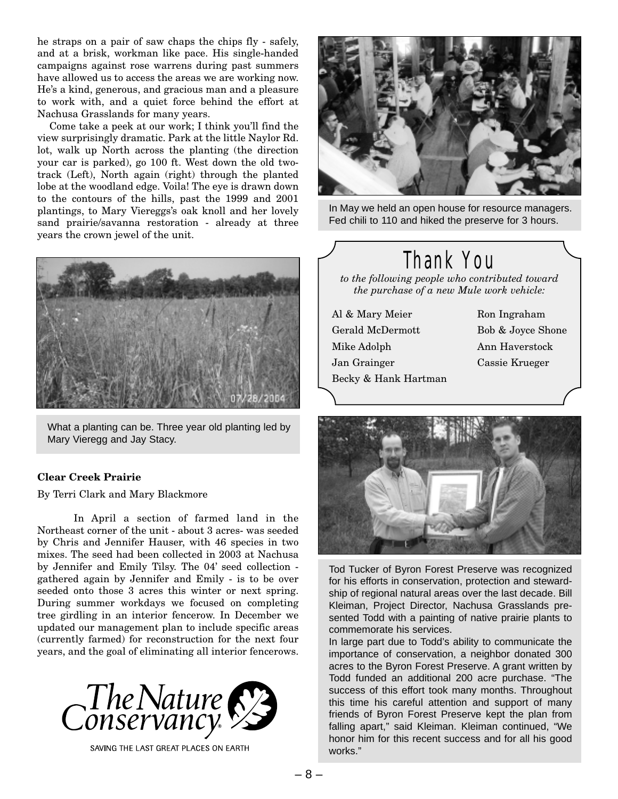he straps on a pair of saw chaps the chips fly - safely, and at a brisk, workman like pace. His single-handed campaigns against rose warrens during past summers have allowed us to access the areas we are working now. He's a kind, generous, and gracious man and a pleasure to work with, and a quiet force behind the effort at Nachusa Grasslands for many years.

Come take a peek at our work; I think you'll find the view surprisingly dramatic. Park at the little Naylor Rd. lot, walk up North across the planting (the direction your car is parked), go 100 ft. West down the old twotrack (Left), North again (right) through the planted lobe at the woodland edge. Voila! The eye is drawn down to the contours of the hills, past the 1999 and 2001 plantings, to Mary Viereggs's oak knoll and her lovely sand prairie/savanna restoration - already at three years the crown jewel of the unit.



What a planting can be. Three year old planting led by Mary Vieregg and Jay Stacy.

### **Clear Creek Prairie**

By Terri Clark and Mary Blackmore

In April a section of farmed land in the Northeast corner of the unit - about 3 acres- was seeded by Chris and Jennifer Hauser, with 46 species in two mixes. The seed had been collected in 2003 at Nachusa by Jennifer and Emily Tilsy. The 04' seed collection gathered again by Jennifer and Emily - is to be over seeded onto those 3 acres this winter or next spring. During summer workdays we focused on completing tree girdling in an interior fencerow. In December we updated our management plan to include specific areas (currently farmed) for reconstruction for the next four years, and the goal of eliminating all interior fencerows.



SAVING THE LAST GREAT PLACES ON EARTH



In May we held an open house for resource managers. Fed chili to 110 and hiked the preserve for 3 hours.

## Thank You

*to the following people who contributed toward the purchase of a new Mule work vehicle:*

- Al & Mary Meier Ron Ingraham Gerald McDermott Bob & Joyce Shone Mike Adolph Ann Haverstock Jan Grainger Cassie Krueger Becky & Hank Hartman
- 



Tod Tucker of Byron Forest Preserve was recognized for his efforts in conservation, protection and stewardship of regional natural areas over the last decade. Bill Kleiman, Project Director, Nachusa Grasslands presented Todd with a painting of native prairie plants to commemorate his services.

In large part due to Todd's ability to communicate the importance of conservation, a neighbor donated 300 acres to the Byron Forest Preserve. A grant written by Todd funded an additional 200 acre purchase. "The success of this effort took many months. Throughout this time his careful attention and support of many friends of Byron Forest Preserve kept the plan from falling apart," said Kleiman. Kleiman continued, "We honor him for this recent success and for all his good works."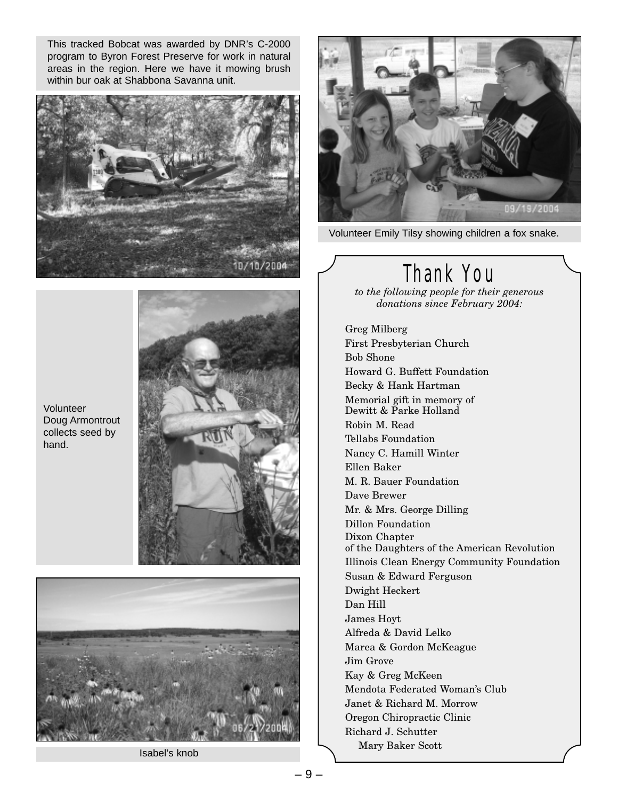This tracked Bobcat was awarded by DNR's C-2000 program to Byron Forest Preserve for work in natural areas in the region. Here we have it mowing brush within bur oak at Shabbona Savanna unit.







Isabel's knob



Volunteer Emily Tilsy showing children a fox snake.

## Thank You

*to the following people for their generous donations since February 2004:*

Greg Milberg First Presbyterian Church Bob Shone Howard G. Buffett Foundation Becky & Hank Hartman Memorial gift in memory of Dewitt & Parke Holland Robin M. Read Tellabs Foundation Nancy C. Hamill Winter Ellen Baker M. R. Bauer Foundation Dave Brewer Mr. & Mrs. George Dilling Dillon Foundation Dixon Chapter of the Daughters of the American Revolution Illinois Clean Energy Community Foundation Susan & Edward Ferguson Dwight Heckert Dan Hill James Hoyt Alfreda & David Lelko Marea & Gordon McKeague Jim Grove Kay & Greg McKeen Mendota Federated Woman's Club Janet & Richard M. Morrow Oregon Chiropractic Clinic Richard J. Schutter Mary Baker Scott

Volunteer Doug Armontrout collects seed by hand.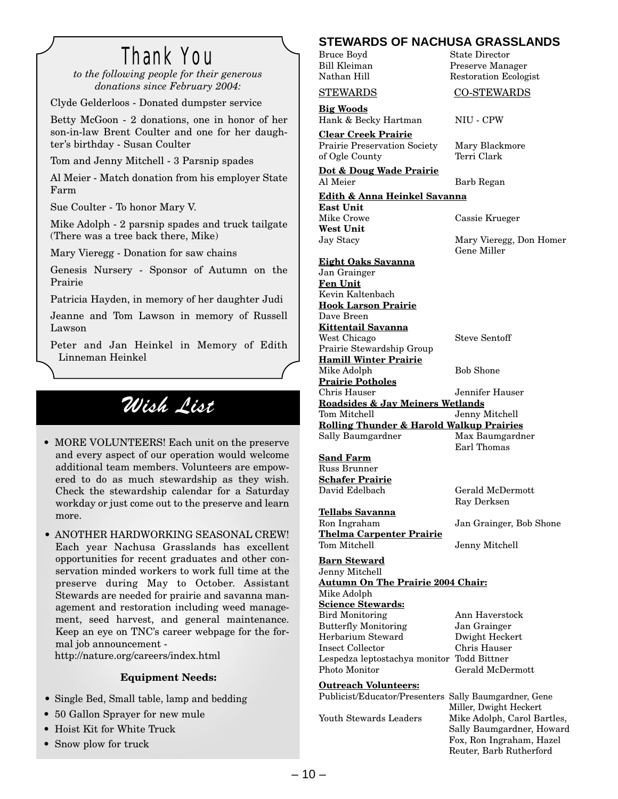## Thank You

*to the following people for their generous donations since February 2004:*

Clyde Gelderloos - Donated dumpster service

Betty McGoon - 2 donations, one in honor of her son-in-law Brent Coulter and one for her daughter's birthday - Susan Coulter

Tom and Jenny Mitchell - 3 Parsnip spades

Al Meier - Match donation from his employer State Farm

Sue Coulter - To honor Mary V.

Mike Adolph - 2 parsnip spades and truck tailgate (There was a tree back there, Mike)

Mary Vieregg - Donation for saw chains

Genesis Nursery - Sponsor of Autumn on the Prairie

Patricia Hayden, in memory of her daughter Judi

Jeanne and Tom Lawson in memory of Russell Lawson

Peter and Jan Heinkel in Memory of Edith Linneman Heinkel

## Wish List

• MORE VOLUNTEERS! Each unit on the preserve and every aspect of our operation would welcome additional team members. Volunteers are empowered to do as much stewardship as they wish. Check the stewardship calendar for a Saturday workday or just come out to the preserve and learn more.

• ANOTHER HARDWORKING SEASONAL CREW! Each year Nachusa Grasslands has excellent opportunities for recent graduates and other conservation minded workers to work full time at the preserve during May to October. Assistant Stewards are needed for prairie and savanna management and restoration including weed management, seed harvest, and general maintenance. Keep an eye on TNC's career webpage for the formal job announcement http://nature.org/careers/index.html

### **Equipment Needs:**

- Single Bed, Small table, lamp and bedding
- 50 Gallon Sprayer for new mule
- Hoist Kit for White Truck
- Snow plow for truck

### **STEWARDS OF NACHUSA GRASSLANDS**

Bruce Boyd State Director Bill Kleiman Preserve Manager Restoration Ecologist

### STEWARDS CO-STEWARDS

Hank & Becky Hartman NIU - CPW

**Clear Creek Prairie** Prairie Preservation Society Mary Blackmore of Ogle County Terri Clark

**Big Woods**

**Dot & Doug Wade Prairie** Al Meier Barb Regan

**Edith & Anna Heinkel Savanna East Unit** Mike Crowe Cassie Krueger **West Unit** Jay Stacy Mary Vieregg, Don Homer

Gene Miller **Eight Oaks Savanna** Jan Grainger **Fen Unit** Kevin Kaltenbach **Hook Larson Prairie** Dave Breen **Kittentail Savanna** West Chicago Steve Sentoff Prairie Stewardship Group **Hamill Winter Prairie** Mike Adolph Bob Shone **Prairie Potholes** Chris Hauser Jennifer Hauser **Roadsides & Jay Meiners Wetlands** Tom Mitchell Jenny Mitchell **Rolling Thunder & Harold Walkup Prairies** Sally Baumgardner Max Baumgardner

**Sand Farm** Russ Brunner **Schafer Prairie** David Edelbach Gerald McDermott

**Tellabs Savanna** Ron Ingraham Jan Grainger, Bob Shone **Thelma Carpenter Prairie** Tom Mitchell Jenny Mitchell

**Barn Steward** Jenny Mitchell **Autumn On The Prairie 2004 Chair:** Mike Adolph **Science Stewards:** Bird Monitoring Ann Haverstock Butterfly Monitoring Jan Grainger Herbarium Steward Dwight Heckert Insect Collector Chris Hauser Lespedza leptostachya monitor Todd Bittner Photo Monitor Gerald McDermott

### **Outreach Volunteers:**

Earl Thomas

Ray Derksen

Publicist/Educator/Presenters Sally Baumgardner, Gene Miller, Dwight Heckert Youth Stewards Leaders Mike Adolph, Carol Bartles, Sally Baumgardner, Howard Fox, Ron Ingraham, Hazel Reuter, Barb Rutherford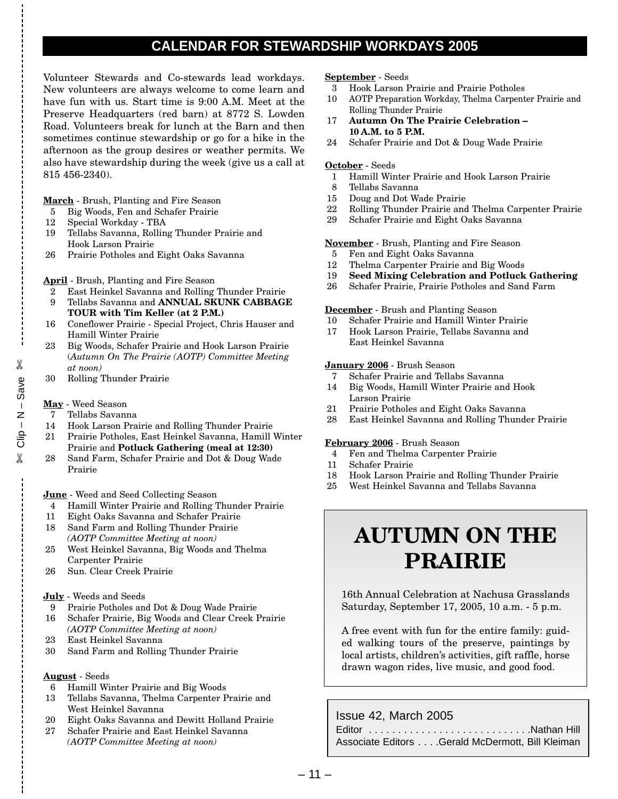## **CALENDAR FOR STEWARDSHIP WORKDAYS 2005**

Volunteer Stewards and Co-stewards lead workdays. New volunteers are always welcome to come learn and have fun with us. Start time is 9:00 A.M. Meet at the Preserve Headquarters (red barn) at 8772 S. Lowden Road. Volunteers break for lunch at the Barn and then sometimes continue stewardship or go for a hike in the afternoon as the group desires or weather permits. We also have stewardship during the week (give us a call at 815 456-2340).

**March** - Brush, Planting and Fire Season

- 5 Big Woods, Fen and Schafer Prairie
- 12 Special Workday TBA
- 19 Tellabs Savanna, Rolling Thunder Prairie and Hook Larson Prairie
- 26 Prairie Potholes and Eight Oaks Savanna

### **April** - Brush, Planting and Fire Season

- 2 East Heinkel Savanna and Rolling Thunder Prairie
- 9 Tellabs Savanna and **ANNUAL SKUNK CABBAGE TOUR with Tim Keller (at 2 P.M.)**
- 16 Coneflower Prairie Special Project, Chris Hauser and Hamill Winter Prairie
- 23 Big Woods, Schafer Prairie and Hook Larson Prairie (*Autumn On The Prairie (AOTP) Committee Meeting at noon)*
- 30 Rolling Thunder Prairie

### **May** - Weed Season

 $\approx$  Clip – N – Save e<br>
N = N − d!iO<br>
X

 $% \mathcal{W}$ 

- 7 Tellabs Savanna
- 14 Hook Larson Prairie and Rolling Thunder Prairie
- 21 Prairie Potholes, East Heinkel Savanna, Hamill Winter Prairie and **Potluck Gathering (meal at 12:30)**
- 28 Sand Farm, Schafer Prairie and Dot & Doug Wade Prairie

### **June** - Weed and Seed Collecting Season

- 4 Hamill Winter Prairie and Rolling Thunder Prairie
- 11 Eight Oaks Savanna and Schafer Prairie 18 Sand Farm and Rolling Thunder Prairie
- *(AOTP Committee Meeting at noon)*
- 25 West Heinkel Savanna, Big Woods and Thelma Carpenter Prairie
- 26 Sun. Clear Creek Prairie

### **July** - Weeds and Seeds

- 9 Prairie Potholes and Dot & Doug Wade Prairie
- 16 Schafer Prairie, Big Woods and Clear Creek Prairie *(AOTP Committee Meeting at noon)*
- 23 East Heinkel Savanna
- 30 Sand Farm and Rolling Thunder Prairie

### **August** - Seeds

- 6 Hamill Winter Prairie and Big Woods
- 13 Tellabs Savanna, Thelma Carpenter Prairie and West Heinkel Savanna
- 20 Eight Oaks Savanna and Dewitt Holland Prairie
- 27 Schafer Prairie and East Heinkel Savanna *(AOTP Committee Meeting at noon)*

#### **September** - Seeds

- 3 Hook Larson Prairie and Prairie Potholes
- 10 AOTP Preparation Workday, Thelma Carpenter Prairie and Rolling Thunder Prairie
- 17 **Autumn On The Prairie Celebration – 10 A.M. to 5 P.M.**
- 24 Schafer Prairie and Dot & Doug Wade Prairie

### **October** - Seeds

- 1 Hamill Winter Prairie and Hook Larson Prairie
- 8 Tellabs Savanna
- 15 Doug and Dot Wade Prairie
- 22 Rolling Thunder Prairie and Thelma Carpenter Prairie
- 29 Schafer Prairie and Eight Oaks Savanna

### **November** - Brush, Planting and Fire Season

- 5 Fen and Eight Oaks Savanna
- 12 Thelma Carpenter Prairie and Big Woods
- 19 **Seed Mixing Celebration and Potluck Gathering**
- 26 Schafer Prairie, Prairie Potholes and Sand Farm

#### **December** - Brush and Planting Season

- 10 Schafer Prairie and Hamill Winter Prairie
- 17 Hook Larson Prairie, Tellabs Savanna and East Heinkel Savanna

### **January 2006** - Brush Season

- 7 Schafer Prairie and Tellabs Savanna
- 14 Big Woods, Hamill Winter Prairie and Hook Larson Prairie
- 21 Prairie Potholes and Eight Oaks Savanna
- 28 East Heinkel Savanna and Rolling Thunder Prairie

### **February 2006** - Brush Season

- 4 Fen and Thelma Carpenter Prairie
- 11 Schafer Prairie
- 18 Hook Larson Prairie and Rolling Thunder Prairie
- 25 West Heinkel Savanna and Tellabs Savanna

## **AUTUMN ON THE PRAIRIE**

16th Annual Celebration at Nachusa Grasslands Saturday, September 17, 2005, 10 a.m. - 5 p.m.

A free event with fun for the entire family: guided walking tours of the preserve, paintings by local artists, children's activities, gift raffle, horse drawn wagon rides, live music, and good food.

### Issue 42, March 2005

Editor . . . . . . . . . . . . . . . . . . . . . . . . . . . .Nathan Hill Associate Editors . . . .Gerald McDermott, Bill Kleiman